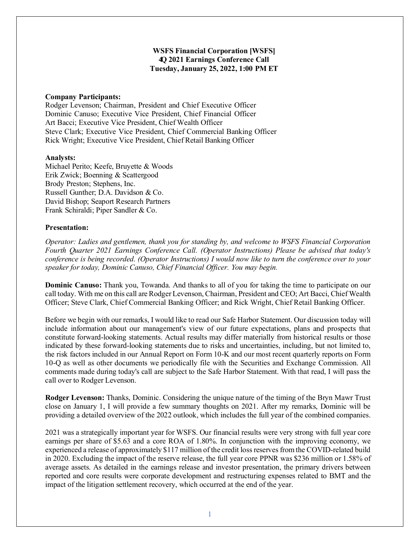# **WSFS Financial Corporation [WSFS] 4Q 2021 Earnings Conference Call Tuesday, January 25, 2022, 1:00 PM ET**

### **Company Participants:**

Rodger Levenson; Chairman, President and Chief Executive Officer Dominic Canuso; Executive Vice President, Chief Financial Officer Art Bacci; Executive Vice President, Chief Wealth Officer Steve Clark; Executive Vice President, Chief Commercial Banking Officer Rick Wright; Executive Vice President, Chief Retail Banking Officer

### **Analysts:**

Michael Perito; Keefe, Bruyette & Woods Erik Zwick; Boenning & Scattergood Brody Preston; Stephens, Inc. Russell Gunther; D.A. Davidson & Co. David Bishop; Seaport Research Partners Frank Schiraldi; Piper Sandler & Co.

## **Presentation:**

*Operator: Ladies and gentlemen, thank you for standing by, and welcome to WSFS Financial Corporation Fourth Quarter 2021 Earnings Conference Call. (Operator Instructions) Please be advised that today's conference is being recorded. (Operator Instructions) I would now like to turn the conference over to your speaker for today, Dominic Canuso, Chief Financial Officer. You may begin.*

**Dominic Canuso:** Thank you, Towanda. And thanks to all of you for taking the time to participate on our call today. With me on this call are Rodger Levenson, Chairman, President and CEO; Art Bacci, Chief Wealth Officer; Steve Clark, Chief Commercial Banking Officer; and Rick Wright, Chief Retail Banking Officer.

Before we begin with our remarks, I would like to read our Safe Harbor Statement. Our discussion today will include information about our management's view of our future expectations, plans and prospects that constitute forward-looking statements. Actual results may differ materially from historical results or those indicated by these forward-looking statements due to risks and uncertainties, including, but not limited to, the risk factors included in our Annual Report on Form 10-K and our most recent quarterly reports on Form 10-Q as well as other documents we periodically file with the Securities and Exchange Commission. All comments made during today's call are subject to the Safe Harbor Statement. With that read, I will pass the call over to Rodger Levenson.

**Rodger Levenson:** Thanks, Dominic. Considering the unique nature of the timing of the Bryn Mawr Trust close on January 1, I will provide a few summary thoughts on 2021. After my remarks, Dominic will be providing a detailed overview of the 2022 outlook, which includes the full year of the combined companies.

2021 was a strategically important year for WSFS. Our financial results were very strong with full year core earnings per share of \$5.63 and a core ROA of 1.80%. In conjunction with the improving economy, we experienced a release of approximately \$117 million of the credit loss reserves from the COVID-related build in 2020. Excluding the impact of the reserve release, the full year core PPNR was \$236 million or 1.58% of average assets. As detailed in the earnings release and investor presentation, the primary drivers between reported and core results were corporate development and restructuring expenses related to BMT and the impact of the litigation settlement recovery, which occurred at the end of the year.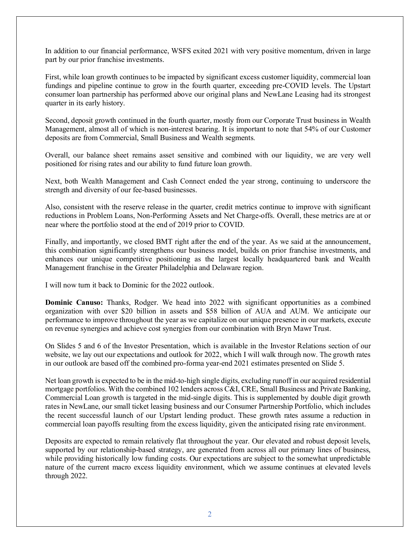In addition to our financial performance, WSFS exited 2021 with very positive momentum, driven in large part by our prior franchise investments.

First, while loan growth continues to be impacted by significant excess customer liquidity, commercial loan fundings and pipeline continue to grow in the fourth quarter, exceeding pre-COVID levels. The Upstart consumer loan partnership has performed above our original plans and NewLane Leasing had its strongest quarter in its early history.

Second, deposit growth continued in the fourth quarter, mostly from our Corporate Trust business in Wealth Management, almost all of which is non-interest bearing. It is important to note that 54% of our Customer deposits are from Commercial, Small Business and Wealth segments.

Overall, our balance sheet remains asset sensitive and combined with our liquidity, we are very well positioned for rising rates and our ability to fund future loan growth.

Next, both Wealth Management and Cash Connect ended the year strong, continuing to underscore the strength and diversity of our fee-based businesses.

Also, consistent with the reserve release in the quarter, credit metrics continue to improve with significant reductions in Problem Loans, Non-Performing Assets and Net Charge-offs. Overall, these metrics are at or near where the portfolio stood at the end of 2019 prior to COVID.

Finally, and importantly, we closed BMT right after the end of the year. As we said at the announcement, this combination significantly strengthens our business model, builds on prior franchise investments, and enhances our unique competitive positioning as the largest locally headquartered bank and Wealth Management franchise in the Greater Philadelphia and Delaware region.

I will now turn it back to Dominic for the 2022 outlook.

**Dominic Canuso:** Thanks, Rodger. We head into 2022 with significant opportunities as a combined organization with over \$20 billion in assets and \$58 billion of AUA and AUM. We anticipate our performance to improve throughout the year as we capitalize on our unique presence in our markets, execute on revenue synergies and achieve cost synergies from our combination with Bryn Mawr Trust.

On Slides 5 and 6 of the Investor Presentation, which is available in the Investor Relations section of our website, we lay out our expectations and outlook for 2022, which I will walk through now. The growth rates in our outlook are based off the combined pro-forma year-end 2021 estimates presented on Slide 5.

Net loan growth is expected to be in the mid-to-high single digits, excluding runoff in our acquired residential mortgage portfolios. With the combined 102 lenders across C&I, CRE, Small Business and Private Banking, Commercial Loan growth is targeted in the mid-single digits. This is supplemented by double digit growth rates in NewLane, our small ticket leasing business and our Consumer Partnership Portfolio, which includes the recent successful launch of our Upstart lending product. These growth rates assume a reduction in commercial loan payoffs resulting from the excess liquidity, given the anticipated rising rate environment.

Deposits are expected to remain relatively flat throughout the year. Our elevated and robust deposit levels, supported by our relationship-based strategy, are generated from across all our primary lines of business, while providing historically low funding costs. Our expectations are subject to the somewhat unpredictable nature of the current macro excess liquidity environment, which we assume continues at elevated levels through 2022.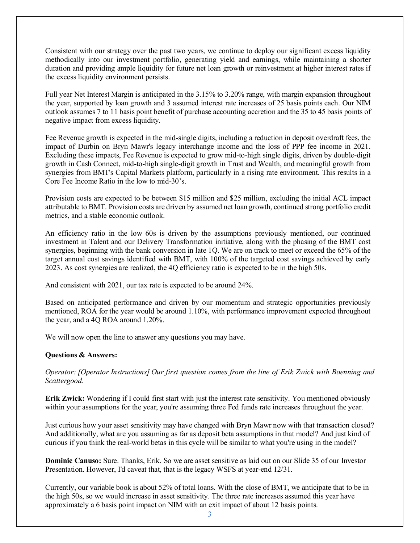Consistent with our strategy over the past two years, we continue to deploy our significant excess liquidity methodically into our investment portfolio, generating yield and earnings, while maintaining a shorter duration and providing ample liquidity for future net loan growth or reinvestment at higher interest rates if the excess liquidity environment persists.

Full year Net Interest Margin is anticipated in the 3.15% to 3.20% range, with margin expansion throughout the year, supported by loan growth and 3 assumed interest rate increases of 25 basis points each. Our NIM outlook assumes 7 to 11 basis point benefit of purchase accounting accretion and the 35 to 45 basis points of negative impact from excess liquidity.

Fee Revenue growth is expected in the mid-single digits, including a reduction in deposit overdraft fees, the impact of Durbin on Bryn Mawr's legacy interchange income and the loss of PPP fee income in 2021. Excluding these impacts, Fee Revenue is expected to grow mid-to-high single digits, driven by double-digit growth in Cash Connect, mid-to-high single-digit growth in Trust and Wealth, and meaningful growth from synergies from BMT's Capital Markets platform, particularly in a rising rate environment. This results in a Core Fee Income Ratio in the low to mid-30's.

Provision costs are expected to be between \$15 million and \$25 million, excluding the initial ACL impact attributable to BMT. Provision costs are driven by assumed net loan growth, continued strong portfolio credit metrics, and a stable economic outlook.

An efficiency ratio in the low 60s is driven by the assumptions previously mentioned, our continued investment in Talent and our Delivery Transformation initiative, along with the phasing of the BMT cost synergies, beginning with the bank conversion in late 1Q. We are on track to meet or exceed the 65% of the target annual cost savings identified with BMT, with 100% of the targeted cost savings achieved by early 2023. As cost synergies are realized, the 4Q efficiency ratio is expected to be in the high 50s.

And consistent with 2021, our tax rate is expected to be around 24%.

Based on anticipated performance and driven by our momentum and strategic opportunities previously mentioned, ROA for the year would be around 1.10%, with performance improvement expected throughout the year, and a 4Q ROA around 1.20%.

We will now open the line to answer any questions you may have.

## **Questions & Answers:**

*Operator: [Operator Instructions] Our first question comes from the line of Erik Zwick with Boenning and Scattergood.*

**Erik Zwick:** Wondering if I could first start with just the interest rate sensitivity. You mentioned obviously within your assumptions for the year, you're assuming three Fed funds rate increases throughout the year.

Just curious how your asset sensitivity may have changed with Bryn Mawr now with that transaction closed? And additionally, what are you assuming as far as deposit beta assumptions in that model? And just kind of curious if you think the real-world betas in this cycle will be similar to what you're using in the model?

**Dominic Canuso:** Sure. Thanks, Erik. So we are asset sensitive as laid out on our Slide 35 of our Investor Presentation. However, I'd caveat that, that is the legacy WSFS at year-end 12/31.

Currently, our variable book is about 52% of total loans. With the close of BMT, we anticipate that to be in the high 50s, so we would increase in asset sensitivity. The three rate increases assumed this year have approximately a 6 basis point impact on NIM with an exit impact of about 12 basis points.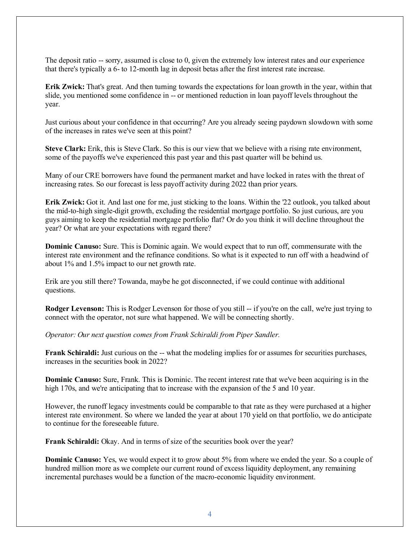The deposit ratio -- sorry, assumed is close to 0, given the extremely low interest rates and our experience that there's typically a 6- to 12-month lag in deposit betas after the first interest rate increase.

**Erik Zwick:** That's great. And then turning towards the expectations for loan growth in the year, within that slide, you mentioned some confidence in -- or mentioned reduction in loan payoff levels throughout the year.

Just curious about your confidence in that occurring? Are you already seeing paydown slowdown with some of the increases in rates we've seen at this point?

**Steve Clark:** Erik, this is Steve Clark. So this is our view that we believe with a rising rate environment, some of the payoffs we've experienced this past year and this past quarter will be behind us.

Many of our CRE borrowers have found the permanent market and have locked in rates with the threat of increasing rates. So our forecast is less payoff activity during 2022 than prior years.

**Erik Zwick:** Got it. And last one for me, just sticking to the loans. Within the '22 outlook, you talked about the mid-to-high single-digit growth, excluding the residential mortgage portfolio. So just curious, are you guys aiming to keep the residential mortgage portfolio flat? Or do you think it will decline throughout the year? Or what are your expectations with regard there?

**Dominic Canuso:** Sure. This is Dominic again. We would expect that to run off, commensurate with the interest rate environment and the refinance conditions. So what is it expected to run off with a headwind of about 1% and 1.5% impact to our net growth rate.

Erik are you still there? Towanda, maybe he got disconnected, if we could continue with additional questions.

**Rodger Levenson:** This is Rodger Levenson for those of you still -- if you're on the call, we're just trying to connect with the operator, not sure what happened. We will be connecting shortly.

*Operator: Our next question comes from Frank Schiraldi from Piper Sandler.*

**Frank Schiraldi:** Just curious on the -- what the modeling implies for or assumes for securities purchases, increases in the securities book in 2022?

**Dominic Canuso:** Sure, Frank. This is Dominic. The recent interest rate that we've been acquiring is in the high 170s, and we're anticipating that to increase with the expansion of the 5 and 10 year.

However, the runoff legacy investments could be comparable to that rate as they were purchased at a higher interest rate environment. So where we landed the year at about 170 yield on that portfolio, we do anticipate to continue for the foreseeable future.

**Frank Schiraldi:** Okay. And in terms of size of the securities book over the year?

**Dominic Canuso:** Yes, we would expect it to grow about 5% from where we ended the year. So a couple of hundred million more as we complete our current round of excess liquidity deployment, any remaining incremental purchases would be a function of the macro-economic liquidity environment.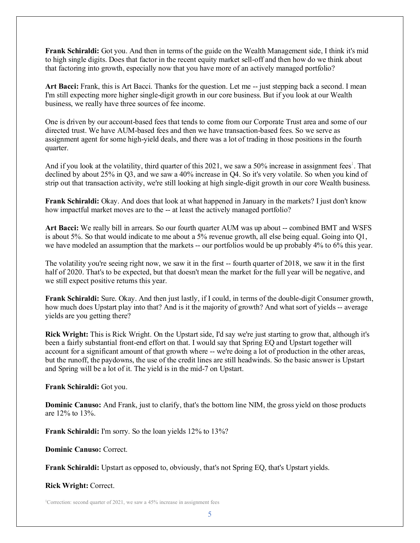**Frank Schiraldi:** Got you. And then in terms of the guide on the Wealth Management side, I think it's mid to high single digits. Does that factor in the recent equity market sell-off and then how do we think about that factoring into growth, especially now that you have more of an actively managed portfolio?

Art Bacci: Frank, this is Art Bacci. Thanks for the question. Let me -- just stepping back a second. I mean I'm still expecting more higher single-digit growth in our core business. But if you look at our Wealth business, we really have three sources of fee income.

One is driven by our account-based fees that tends to come from our Corporate Trust area and some of our directed trust. We have AUM-based fees and then we have transaction-based fees. So we serve as assignment agent for some high-yield deals, and there was a lot of trading in those positions in the fourth quarter.

And if you look at the volatility, third quarter of this 2021, we saw a 50% increase in assignment fees<sup>1</sup>. That declined by about 25% in Q3, and we saw a 40% increase in Q4. So it's very volatile. So when you kind of strip out that transaction activity, we're still looking at high single-digit growth in our core Wealth business.

**Frank Schiraldi:** Okay. And does that look at what happened in January in the markets? I just don't know how impactful market moves are to the -- at least the actively managed portfolio?

**Art Bacci:** We really bill in arrears. So our fourth quarter AUM was up about -- combined BMT and WSFS is about 5%. So that would indicate to me about a 5% revenue growth, all else being equal. Going into Q1, we have modeled an assumption that the markets -- our portfolios would be up probably 4% to 6% this year.

The volatility you're seeing right now, we saw it in the first -- fourth quarter of 2018, we saw it in the first half of 2020. That's to be expected, but that doesn't mean the market for the full year will be negative, and we still expect positive returns this year.

**Frank Schiraldi:** Sure. Okay. And then just lastly, if I could, in terms of the double-digit Consumer growth, how much does Upstart play into that? And is it the majority of growth? And what sort of yields -- average yields are you getting there?

**Rick Wright:** This is Rick Wright. On the Upstart side, I'd say we're just starting to grow that, although it's been a fairly substantial front-end effort on that. I would say that Spring EQ and Upstart together will account for a significant amount of that growth where -- we're doing a lot of production in the other areas, but the runoff, the paydowns, the use of the credit lines are still headwinds. So the basic answer is Upstart and Spring will be a lot of it. The yield is in the mid-7 on Upstart.

**Frank Schiraldi:** Got you.

**Dominic Canuso:** And Frank, just to clarify, that's the bottom line NIM, the gross yield on those products are 12% to 13%.

**Frank Schiraldi:** I'm sorry. So the loan yields 12% to 13%?

**Dominic Canuso:** Correct.

**Frank Schiraldi:** Upstart as opposed to, obviously, that's not Spring EQ, that's Upstart yields.

**Rick Wright:** Correct.

<sup>1</sup>Correction: second quarter of 2021, we saw a 45% increase in assignment fees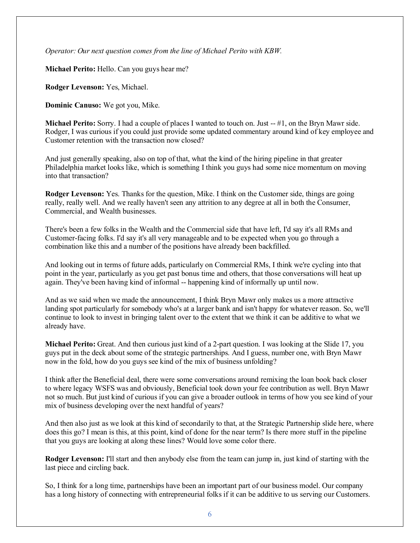*Operator: Our next question comes from the line of Michael Perito with KBW.*

**Michael Perito:** Hello. Can you guys hear me?

**Rodger Levenson:** Yes, Michael.

**Dominic Canuso:** We got you, Mike.

**Michael Perito:** Sorry. I had a couple of places I wanted to touch on. Just -- #1, on the Bryn Mawr side. Rodger, I was curious if you could just provide some updated commentary around kind of key employee and Customer retention with the transaction now closed?

And just generally speaking, also on top of that, what the kind of the hiring pipeline in that greater Philadelphia market looks like, which is something I think you guys had some nice momentum on moving into that transaction?

**Rodger Levenson:** Yes. Thanks for the question, Mike. I think on the Customer side, things are going really, really well. And we really haven't seen any attrition to any degree at all in both the Consumer, Commercial, and Wealth businesses.

There's been a few folks in the Wealth and the Commercial side that have left, I'd say it's all RMs and Customer-facing folks. I'd say it's all very manageable and to be expected when you go through a combination like this and a number of the positions have already been backfilled.

And looking out in terms of future adds, particularly on Commercial RMs, I think we're cycling into that point in the year, particularly as you get past bonus time and others, that those conversations will heat up again. They've been having kind of informal -- happening kind of informally up until now.

And as we said when we made the announcement, I think Bryn Mawr only makes us a more attractive landing spot particularly for somebody who's at a larger bank and isn't happy for whatever reason. So, we'll continue to look to invest in bringing talent over to the extent that we think it can be additive to what we already have.

**Michael Perito:** Great. And then curious just kind of a 2-part question. I was looking at the Slide 17, you guys put in the deck about some of the strategic partnerships. And I guess, number one, with Bryn Mawr now in the fold, how do you guys see kind of the mix of business unfolding?

I think after the Beneficial deal, there were some conversations around remixing the loan book back closer to where legacy WSFS was and obviously, Beneficial took down your fee contribution as well. Bryn Mawr not so much. But just kind of curious if you can give a broader outlook in terms of how you see kind of your mix of business developing over the next handful of years?

And then also just as we look at this kind of secondarily to that, at the Strategic Partnership slide here, where does this go? I mean is this, at this point, kind of done for the near term? Is there more stuff in the pipeline that you guys are looking at along these lines? Would love some color there.

**Rodger Levenson:** I'll start and then anybody else from the team can jump in, just kind of starting with the last piece and circling back.

So, I think for a long time, partnerships have been an important part of our business model. Our company has a long history of connecting with entrepreneurial folks if it can be additive to us serving our Customers.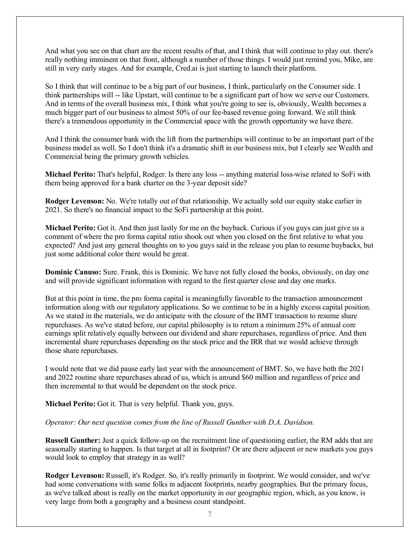And what you see on that chart are the recent results of that, and I think that will continue to play out. there's really nothing imminent on that front, although a number of those things. I would just remind you, Mike, are still in very early stages. And for example, Cred.ai is just starting to launch their platform.

So I think that will continue to be a big part of our business, I think, particularly on the Consumer side. I think partnerships will -- like Upstart, will continue to be a significant part of how we serve our Customers. And in terms of the overall business mix, I think what you're going to see is, obviously, Wealth becomes a much bigger part of our business to almost 50% of our fee-based revenue going forward. We still think there's a tremendous opportunity in the Commercial space with the growth opportunity we have there.

And I think the consumer bank with the lift from the partnerships will continue to be an important part of the business model as well. So I don't think it's a dramatic shift in our business mix, but I clearly see Wealth and Commercial being the primary growth vehicles.

**Michael Perito:** That's helpful, Rodger. Is there any loss -- anything material loss-wise related to SoFi with them being approved for a bank charter on the 3-year deposit side?

**Rodger Levenson:** No. We're totally out of that relationship. We actually sold our equity stake earlier in 2021. So there's no financial impact to the SoFi partnership at this point.

**Michael Perito:** Got it. And then just lastly for me on the buyback. Curious if you guys can just give us a comment of where the pro forma capital ratio shook out when you closed on the first relative to what you expected? And just any general thoughts on to you guys said in the release you plan to resume buybacks, but just some additional color there would be great.

**Dominic Canuso:** Sure. Frank, this is Dominic. We have not fully closed the books, obviously, on day one and will provide significant information with regard to the first quarter close and day one marks.

But at this point in time, the pro forma capital is meaningfully favorable to the transaction announcement information along with our regulatory applications. So we continue to be in a highly excess capital position. As we stated in the materials, we do anticipate with the closure of the BMT transaction to resume share repurchases. As we've stated before, our capital philosophy is to return a minimum 25% of annual core earnings split relatively equally between our dividend and share repurchases, regardless of price. And then incremental share repurchases depending on the stock price and the IRR that we would achieve through those share repurchases.

I would note that we did pause early last year with the announcement of BMT. So, we have both the 2021 and 2022 routine share repurchases ahead of us, which is around \$60 million and regardless of price and then incremental to that would be dependent on the stock price.

**Michael Perito:** Got it. That is very helpful. Thank you, guys.

### *Operator: Our next question comes from the line of Russell Gunther with D.A. Davidson.*

**Russell Gunther:** Just a quick follow-up on the recruitment line of questioning earlier, the RM adds that are seasonally starting to happen. Is that target at all in footprint? Or are there adjacent or new markets you guys would look to employ that strategy in as well?

**Rodger Levenson:** Russell, it's Rodger. So, it's really primarily in footprint. We would consider, and we've had some conversations with some folks in adjacent footprints, nearby geographies. But the primary focus, as we've talked about is really on the market opportunity in our geographic region, which, as you know, is very large from both a geography and a business count standpoint.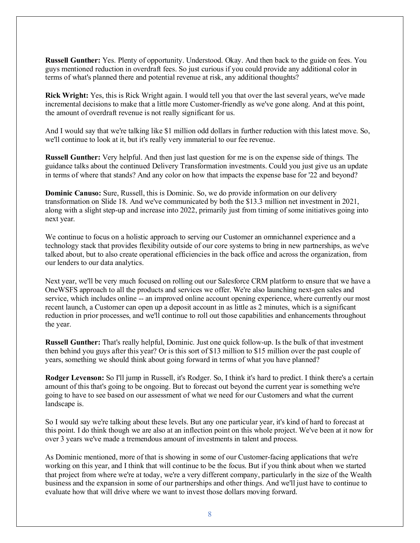**Russell Gunther:** Yes. Plenty of opportunity. Understood. Okay. And then back to the guide on fees. You guys mentioned reduction in overdraft fees. So just curious if you could provide any additional color in terms of what's planned there and potential revenue at risk, any additional thoughts?

**Rick Wright:** Yes, this is Rick Wright again. I would tell you that over the last several years, we've made incremental decisions to make that a little more Customer-friendly as we've gone along. And at this point, the amount of overdraft revenue is not really significant for us.

And I would say that we're talking like \$1 million odd dollars in further reduction with this latest move. So, we'll continue to look at it, but it's really very immaterial to our fee revenue.

**Russell Gunther:** Very helpful. And then just last question for me is on the expense side of things. The guidance talks about the continued Delivery Transformation investments. Could you just give us an update in terms of where that stands? And any color on how that impacts the expense base for '22 and beyond?

**Dominic Canuso:** Sure, Russell, this is Dominic. So, we do provide information on our delivery transformation on Slide 18. And we've communicated by both the \$13.3 million net investment in 2021, along with a slight step-up and increase into 2022, primarily just from timing of some initiatives going into next year.

We continue to focus on a holistic approach to serving our Customer an omnichannel experience and a technology stack that provides flexibility outside of our core systems to bring in new partnerships, as we've talked about, but to also create operational efficiencies in the back office and across the organization, from our lenders to our data analytics.

Next year, we'll be very much focused on rolling out our Salesforce CRM platform to ensure that we have a OneWSFS approach to all the products and services we offer. We're also launching next-gen sales and service, which includes online -- an improved online account opening experience, where currently our most recent launch, a Customer can open up a deposit account in as little as 2 minutes, which is a significant reduction in prior processes, and we'll continue to roll out those capabilities and enhancements throughout the year.

**Russell Gunther:** That's really helpful, Dominic. Just one quick follow-up. Is the bulk of that investment then behind you guys after this year? Or is this sort of \$13 million to \$15 million over the past couple of years, something we should think about going forward in terms of what you have planned?

**Rodger Levenson:** So I'll jump in Russell, it's Rodger. So, I think it's hard to predict. I think there's a certain amount of this that's going to be ongoing. But to forecast out beyond the current year is something we're going to have to see based on our assessment of what we need for our Customers and what the current landscape is.

So I would say we're talking about these levels. But any one particular year, it's kind of hard to forecast at this point. I do think though we are also at an inflection point on this whole project. We've been at it now for over 3 years we've made a tremendous amount of investments in talent and process.

As Dominic mentioned, more of that is showing in some of our Customer-facing applications that we're working on this year, and I think that will continue to be the focus. But if you think about when we started that project from where we're at today, we're a very different company, particularly in the size of the Wealth business and the expansion in some of our partnerships and other things. And we'll just have to continue to evaluate how that will drive where we want to invest those dollars moving forward.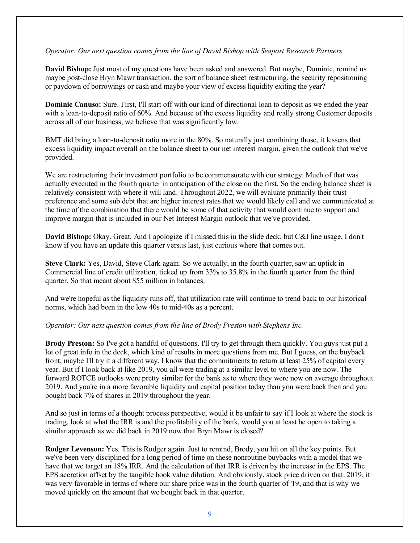### *Operator: Our next question comes from the line of David Bishop with Seaport Research Partners.*

**David Bishop:** Just most of my questions have been asked and answered. But maybe, Dominic, remind us maybe post-close Bryn Mawr transaction, the sort of balance sheet restructuring, the security repositioning or paydown of borrowings or cash and maybe your view of excess liquidity exiting the year?

**Dominic Canuso:** Sure. First, I'll start off with our kind of directional loan to deposit as we ended the year with a loan-to-deposit ratio of 60%. And because of the excess liquidity and really strong Customer deposits across all of our business, we believe that was significantly low.

BMT did bring a loan-to-deposit ratio more in the 80%. So naturally just combining those, it lessens that excess liquidity impact overall on the balance sheet to our net interest margin, given the outlook that we've provided.

We are restructuring their investment portfolio to be commensurate with our strategy. Much of that was actually executed in the fourth quarter in anticipation of the close on the first. So the ending balance sheet is relatively consistent with where it will land. Throughout 2022, we will evaluate primarily their trust preference and some sub debt that are higher interest rates that we would likely call and we communicated at the time of the combination that there would be some of that activity that would continue to support and improve margin that is included in our Net Interest Margin outlook that we've provided.

**David Bishop:** Okay. Great. And I apologize if I missed this in the slide deck, but C&I line usage, I don't know if you have an update this quarter versus last, just curious where that comes out.

**Steve Clark:** Yes, David, Steve Clark again. So we actually, in the fourth quarter, saw an uptick in Commercial line of credit utilization, ticked up from 33% to 35.8% in the fourth quarter from the third quarter. So that meant about \$55 million in balances.

And we're hopeful as the liquidity runs off, that utilization rate will continue to trend back to our historical norms, which had been in the low 40s to mid-40s as a percent.

#### *Operator: Our next question comes from the line of Brody Preston with Stephens Inc.*

**Brody Preston:** So I've got a handful of questions. I'll try to get through them quickly. You guys just put a lot of great info in the deck, which kind of results in more questions from me. But I guess, on the buyback front, maybe I'll try it a different way. I know that the commitments to return at least 25% of capital every year. But if I look back at like 2019, you all were trading at a similar level to where you are now. The forward ROTCE outlooks were pretty similar for the bank as to where they were now on average throughout 2019. And you're in a more favorable liquidity and capital position today than you were back then and you bought back 7% of shares in 2019 throughout the year.

And so just in terms of a thought process perspective, would it be unfair to say if I look at where the stock is trading, look at what the IRR is and the profitability of the bank, would you at least be open to taking a similar approach as we did back in 2019 now that Bryn Mawr is closed?

**Rodger Levenson:** Yes. This is Rodger again. Just to remind, Brody, you hit on all the key points. But we've been very disciplined for a long period of time on these nonroutine buybacks with a model that we have that we target an 18% IRR. And the calculation of that IRR is driven by the increase in the EPS. The EPS accretion offset by the tangible book value dilution. And obviously, stock price driven on that. 2019, it was very favorable in terms of where our share price was in the fourth quarter of '19, and that is why we moved quickly on the amount that we bought back in that quarter.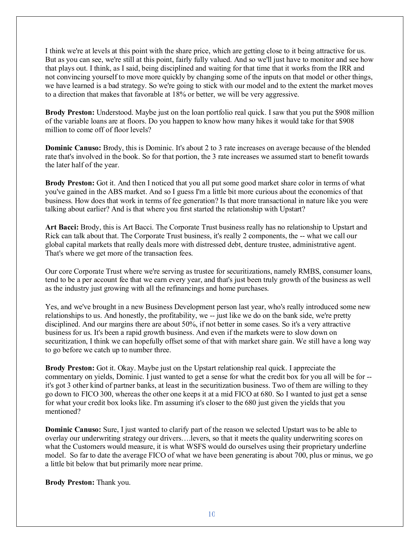I think we're at levels at this point with the share price, which are getting close to it being attractive for us. But as you can see, we're still at this point, fairly fully valued. And so we'll just have to monitor and see how that plays out. I think, as I said, being disciplined and waiting for that time that it works from the IRR and not convincing yourself to move more quickly by changing some of the inputs on that model or other things, we have learned is a bad strategy. So we're going to stick with our model and to the extent the market moves to a direction that makes that favorable at 18% or better, we will be very aggressive.

**Brody Preston:** Understood. Maybe just on the loan portfolio real quick. I saw that you put the \$908 million of the variable loans are at floors. Do you happen to know how many hikes it would take for that \$908 million to come off of floor levels?

**Dominic Canuso:** Brody, this is Dominic. It's about 2 to 3 rate increases on average because of the blended rate that's involved in the book. So for that portion, the 3 rate increases we assumed start to benefit towards the later half of the year.

**Brody Preston:** Got it. And then I noticed that you all put some good market share color in terms of what you've gained in the ABS market. And so I guess I'm a little bit more curious about the economics of that business. How does that work in terms of fee generation? Is that more transactional in nature like you were talking about earlier? And is that where you first started the relationship with Upstart?

**Art Bacci:** Brody, this is Art Bacci. The Corporate Trust business really has no relationship to Upstart and Rick can talk about that. The Corporate Trust business, it's really 2 components, the -- what we call our global capital markets that really deals more with distressed debt, denture trustee, administrative agent. That's where we get more of the transaction fees.

Our core Corporate Trust where we're serving as trustee for securitizations, namely RMBS, consumer loans, tend to be a per account fee that we earn every year, and that's just been truly growth of the business as well as the industry just growing with all the refinancings and home purchases.

Yes, and we've brought in a new Business Development person last year, who's really introduced some new relationships to us. And honestly, the profitability, we -- just like we do on the bank side, we're pretty disciplined. And our margins there are about 50%, if not better in some cases. So it's a very attractive business for us. It's been a rapid growth business. And even if the markets were to slow down on securitization, I think we can hopefully offset some of that with market share gain. We still have a long way to go before we catch up to number three.

**Brody Preston:** Got it. Okay. Maybe just on the Upstart relationship real quick. I appreciate the commentary on yields, Dominic. I just wanted to get a sense for what the credit box for you all will be for - it's got 3 other kind of partner banks, at least in the securitization business. Two of them are willing to they go down to FICO 300, whereas the other one keeps it at a mid FICO at 680. So I wanted to just get a sense for what your credit box looks like. I'm assuming it's closer to the 680 just given the yields that you mentioned?

**Dominic Canuso:** Sure, I just wanted to clarify part of the reason we selected Upstart was to be able to overlay our underwriting strategy our drivers….levers, so that it meets the quality underwriting scores on what the Customers would measure, it is what WSFS would do ourselves using their proprietary underline model. So far to date the average FICO of what we have been generating is about 700, plus or minus, we go a little bit below that but primarily more near prime.

**Brody Preston:** Thank you.